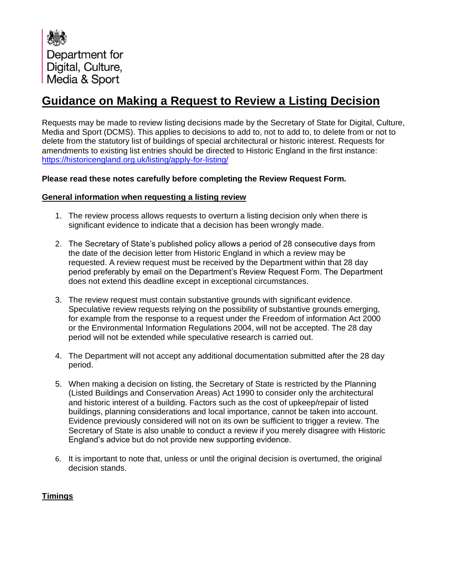Department for Digital, Culture, Media & Sport

# **Guidance on Making a Request to Review a Listing Decision**

Requests may be made to review listing decisions made by the Secretary of State for Digital, Culture, Media and Sport (DCMS). This applies to decisions to add to, not to add to, to delete from or not to delete from the statutory list of buildings of special architectural or historic interest. Requests for amendments to existing list entries should be directed to Historic England in the first instance: <https://historicengland.org.uk/listing/apply-for-listing/>

## **Please read these notes carefully before completing the Review Request Form.**

### **General information when requesting a listing review**

- 1. The review process allows requests to overturn a listing decision only when there is significant evidence to indicate that a decision has been wrongly made.
- 2. The Secretary of State's published policy allows a period of 28 consecutive days from the date of the decision letter from Historic England in which a review may be requested. A review request must be received by the Department within that 28 day period preferably by email on the Department's Review Request Form. The Department does not extend this deadline except in exceptional circumstances.
- 3. The review request must contain substantive grounds with significant evidence. Speculative review requests relying on the possibility of substantive grounds emerging, for example from the response to a request under the Freedom of information Act 2000 or the Environmental Information Regulations 2004, will not be accepted. The 28 day period will not be extended while speculative research is carried out.
- 4. The Department will not accept any additional documentation submitted after the 28 day period.
- 5. When making a decision on listing, the Secretary of State is restricted by the Planning (Listed Buildings and Conservation Areas) Act 1990 to consider only the architectural and historic interest of a building. Factors such as the cost of upkeep/repair of listed buildings, planning considerations and local importance, cannot be taken into account. Evidence previously considered will not on its own be sufficient to trigger a review. The Secretary of State is also unable to conduct a review if you merely disagree with Historic England's advice but do not provide new supporting evidence.
- 6. It is important to note that, unless or until the original decision is overturned, the original decision stands.

# **Timings**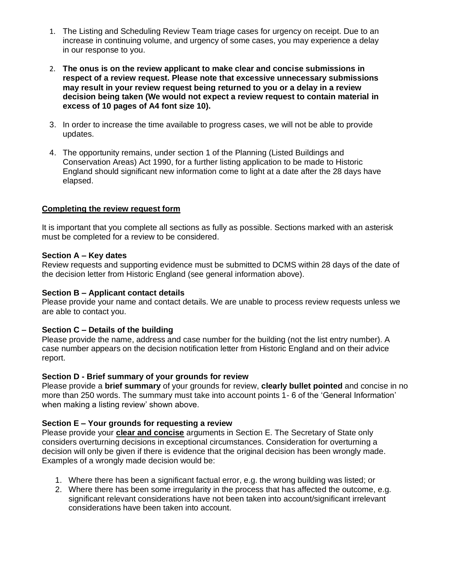- 1. The Listing and Scheduling Review Team triage cases for urgency on receipt. Due to an increase in continuing volume, and urgency of some cases, you may experience a delay in our response to you.
- 2. **The onus is on the review applicant to make clear and concise submissions in respect of a review request. Please note that excessive unnecessary submissions may result in your review request being returned to you or a delay in a review decision being taken (We would not expect a review request to contain material in excess of 10 pages of A4 font size 10).**
- 3. In order to increase the time available to progress cases, we will not be able to provide updates.
- 4. The opportunity remains, under section 1 of the Planning (Listed Buildings and Conservation Areas) Act 1990, for a further listing application to be made to Historic England should significant new information come to light at a date after the 28 days have elapsed.

## **Completing the review request form**

It is important that you complete all sections as fully as possible. Sections marked with an asterisk must be completed for a review to be considered.

#### **Section A – Key dates**

Review requests and supporting evidence must be submitted to DCMS within 28 days of the date of the decision letter from Historic England (see general information above).

#### **Section B – Applicant contact details**

Please provide your name and contact details. We are unable to process review requests unless we are able to contact you.

### **Section C – Details of the building**

Please provide the name, address and case number for the building (not the list entry number). A case number appears on the decision notification letter from Historic England and on their advice report.

## **Section D - Brief summary of your grounds for review**

Please provide a **brief summary** of your grounds for review, **clearly bullet pointed** and concise in no more than 250 words. The summary must take into account points 1- 6 of the 'General Information' when making a listing review' shown above.

### **Section E – Your grounds for requesting a review**

Please provide your **clear and concise** arguments in Section E. The Secretary of State only considers overturning decisions in exceptional circumstances. Consideration for overturning a decision will only be given if there is evidence that the original decision has been wrongly made. Examples of a wrongly made decision would be:

- 1. Where there has been a significant factual error, e.g. the wrong building was listed; or
- 2. Where there has been some irregularity in the process that has affected the outcome, e.g. significant relevant considerations have not been taken into account/significant irrelevant considerations have been taken into account.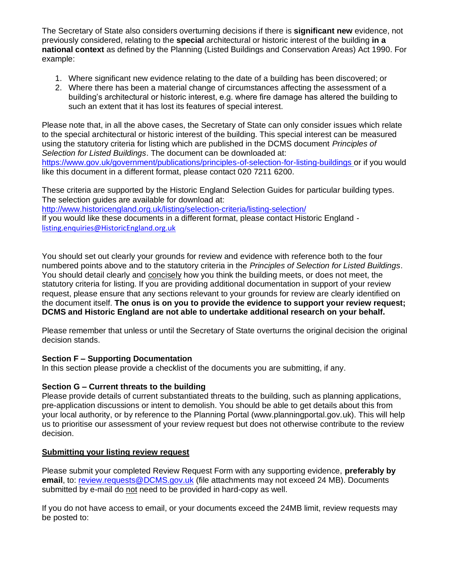The Secretary of State also considers overturning decisions if there is **significant new** evidence, not previously considered, relating to the **special** architectural or historic interest of the building **in a national context** as defined by the Planning (Listed Buildings and Conservation Areas) Act 1990. For example:

- 1. Where significant new evidence relating to the date of a building has been discovered; or
- 2. Where there has been a material change of circumstances affecting the assessment of a building's architectural or historic interest, e.g. where fire damage has altered the building to such an extent that it has lost its features of special interest.

Please note that, in all the above cases, the Secretary of State can only consider issues which relate to the special architectural or historic interest of the building. This special interest can be measured using the statutory criteria for listing which are published in the DCMS document *Principles of Selection for Listed Buildings*. The document can be downloaded at: <https://www.gov.uk/government/publications/principles-of-selection-for-listing-buildings> or if you would like this document in a different format, please contact 020 7211 6200.

These criteria are supported by the Historic England Selection Guides for particular building types. The selection guides are available for download at: <http://www.historicengland.org.uk/listing/selection-criteria/listing-selection/>

If you would like these documents in a different format, please contact Historic England [listing.enquiries@HistoricEngland.org.uk](mailto:listing.enquiries@HistoricEngland.org.uk)

You should set out clearly your grounds for review and evidence with reference both to the four numbered points above and to the statutory criteria in the *Principles of Selection for Listed Buildings*. You should detail clearly and concisely how you think the building meets, or does not meet, the statutory criteria for listing. If you are providing additional documentation in support of your review request, please ensure that any sections relevant to your grounds for review are clearly identified on the document itself. **The onus is on you to provide the evidence to support your review request; DCMS and Historic England are not able to undertake additional research on your behalf.**

Please remember that unless or until the Secretary of State overturns the original decision the original decision stands.

# **Section F – Supporting Documentation**

In this section please provide a checklist of the documents you are submitting, if any.

### **Section G – Current threats to the building**

Please provide details of current substantiated threats to the building, such as planning applications, pre-application discussions or intent to demolish. You should be able to get details about this from your local authority, or by reference to the Planning Portal (www.planningportal.gov.uk). This will help us to prioritise our assessment of your review request but does not otherwise contribute to the review decision.

# **Submitting your listing review request**

Please submit your completed Review Request Form with any supporting evidence, **preferably by email**, to: [review.requests@DCMS.gov.uk](mailto:review.requests@DCMS.gov.uk) (file attachments may not exceed 24 MB). Documents submitted by e-mail do not need to be provided in hard-copy as well.

If you do not have access to email, or your documents exceed the 24MB limit, review requests may be posted to: